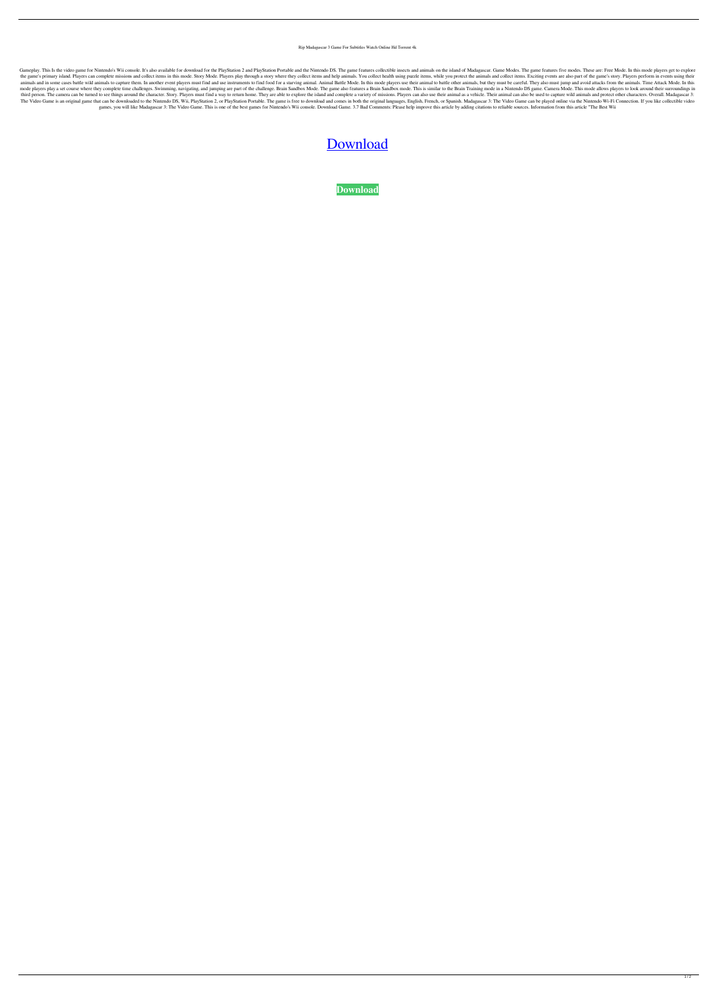Rip Madagascar 3 Game For Subtitles Watch Online Hd Torrent 4k

Gameplay. This Is the video game for Nintendo's Wii console. It's also available for download for the PlayStation 2 and PlayStation Portable and the Nintendo DS. The game features collectible insects and animals on the isl the game's primary island. Players can complete missions and collect items in this mode. Story Mode. Blayers play through a story where they collect items and help animals. You collect health using puzzle items, while you animals and in some cases battle wild animals to capture them. In another event players must find and use instruments to find food for a starving animal. Animal Battle Mode. In this mode players use their animal to battle mode players play a set course where they complete time challenges. Swimming, navigating, and jumping are part of the challenge. Brain Sandbox Mode. The game also features a Brain Sandbox mode. This is similar to the Brain third person. The camera can be turned to see things around the character. Story. Players must find a way to return home. They are able to explore the island and complete a variety of missions. Players can also use their a The Video Game is an original game that can be downloaded to the Nintendo DS, Wii, PlayStation 2, or PlayStation Portable. The game is free to download and comes in both the original languages, English, French, or Spanish. games, you will like Madagascar 3: The Video Game. This is one of the best games for Nintendo's Wii console. Download Game. 3.7 Bad Comments: Please help improve this article by adding citations to reliable sources. Inform

## [Download](http://evacdir.com/knesset/batalla/ingesting&ZG93bmxvYWQgbWFkYWdhc2NhciAzIGdhbWUgZm9yIHBjZG9.ZG93bmxvYWR8VDV2Wld0MGZId3hOalV5TnpRd09EWTJmSHd5TlRjMGZId29UU2tnY21WaFpDMWliRzluSUZ0R1lYTjBJRWRGVGww.collect)

**[Download](http://evacdir.com/knesset/batalla/ingesting&ZG93bmxvYWQgbWFkYWdhc2NhciAzIGdhbWUgZm9yIHBjZG9.ZG93bmxvYWR8VDV2Wld0MGZId3hOalV5TnpRd09EWTJmSHd5TlRjMGZId29UU2tnY21WaFpDMWliRzluSUZ0R1lYTjBJRWRGVGww.collect)**